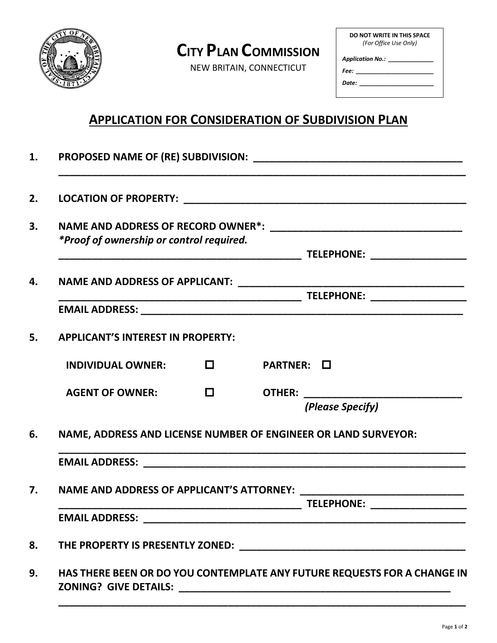

## **CITY PLAN COMMISSION**

NEW BRITAIN, CONNECTICUT

| DO NOT WRITE IN THIS SPACE<br>(For Office Use Only) |  |  |  |  |  |  |  |
|-----------------------------------------------------|--|--|--|--|--|--|--|
|                                                     |  |  |  |  |  |  |  |
| Application No.: ________                           |  |  |  |  |  |  |  |
| Fee:  ____________                                  |  |  |  |  |  |  |  |
| Date:                                               |  |  |  |  |  |  |  |

## **APPLICATION FOR CONSIDERATION OF SUBDIVISION PLAN**

| *Proof of ownership or control required. |                                                                |            |                                |  |  |  |  |
|------------------------------------------|----------------------------------------------------------------|------------|--------------------------------|--|--|--|--|
|                                          |                                                                |            |                                |  |  |  |  |
|                                          |                                                                |            |                                |  |  |  |  |
|                                          |                                                                |            |                                |  |  |  |  |
| <b>APPLICANT'S INTEREST IN PROPERTY:</b> |                                                                |            |                                |  |  |  |  |
| INDIVIDUAL OWNER: $\Box$                 |                                                                | PARTNER: O |                                |  |  |  |  |
| <b>AGENT OF OWNER:</b>                   | $\Box$                                                         |            |                                |  |  |  |  |
|                                          |                                                                |            | (Please Specify)               |  |  |  |  |
|                                          | NAME, ADDRESS AND LICENSE NUMBER OF ENGINEER OR LAND SURVEYOR: |            |                                |  |  |  |  |
|                                          |                                                                |            |                                |  |  |  |  |
|                                          |                                                                |            |                                |  |  |  |  |
|                                          |                                                                |            | TELEPHONE: ___________________ |  |  |  |  |
|                                          |                                                                |            |                                |  |  |  |  |
|                                          |                                                                |            |                                |  |  |  |  |